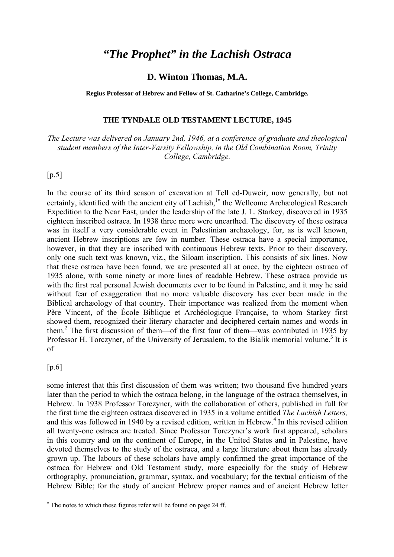# *"The Prophet" in the Lachish Ostraca*

### **D. Winton Thomas, M.A.**

**Regius Professor of Hebrew and Fellow of St. Catharine's College, Cambridge.**

#### **THE TYNDALE OLD TESTAMENT LECTURE, 1945**

*The Lecture was delivered on January 2nd, 1946, at a conference of graduate and theological student members of the Inter-Varsity Fellowship, in the Old Combination Room, Trinity College, Cambridge.*

### [p.5]

In the course of its third season of excavation at Tell ed-Duweir, now generally, but not certainly, identified with the ancient city of Lachish,<sup>1</sup>\* the Wellcome Archæological Research Expedition to the Near East, under the leadership of the late J. L. Starkey, discovered in 1935 eighteen inscribed ostraca. In 1938 three more were unearthed. The discovery of these ostraca was in itself a very considerable event in Palestinian archæology, for, as is well known, ancient Hebrew inscriptions are few in number. These ostraca have a special importance, however, in that they are inscribed with continuous Hebrew texts. Prior to their discovery, only one such text was known, viz., the Siloam inscription. This consists of six lines. Now that these ostraca have been found, we are presented all at once, by the eighteen ostraca of 1935 alone, with some ninety or more lines of readable Hebrew. These ostraca provide us with the first real personal Jewish documents ever to be found in Palestine, and it may he said without fear of exaggeration that no more valuable discovery has ever been made in the Biblical archæology of that country. Their importance was realized from the moment when Père Vincent, of the École Biblique et Archéologique Française, to whom Starkey first showed them, recognized their literary character and deciphered certain names and words in them.2 The first discussion of them—of the first four of them—was contributed in 1935 by Professor H. Torczyner, of the University of Jerusalem, to the Bialik memorial volume.<sup>3</sup> It is of

#### [p.6]

 $\overline{a}$ 

some interest that this first discussion of them was written; two thousand five hundred years later than the period to which the ostraca belong, in the language of the ostraca themselves, in Hebrew. In 1938 Professor Torczyner, with the collaboration of others, published in full for the first time the eighteen ostraca discovered in 1935 in a volume entitled *The Lachish Letters,* and this was followed in 1940 by a revised edition, written in Hebrew.<sup>4</sup> In this revised edition all twenty-one ostraca are treated. Since Professor Torczyner's work first appeared, scholars in this country and on the continent of Europe, in the United States and in Palestine, have devoted themselves to the study of the ostraca, and a large literature about them has already grown up. The labours of these scholars have amply confirmed the great importance of the ostraca for Hebrew and Old Testament study, more especially for the study of Hebrew orthography, pronunciation, grammar, syntax, and vocabulary; for the textual criticism of the Hebrew Bible; for the study of ancient Hebrew proper names and of ancient Hebrew letter

<sup>∗</sup> The notes to which these figures refer will be found on page 24 ff.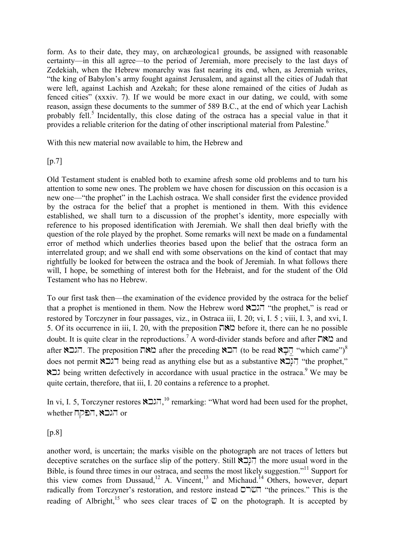form. As to their date, they may, on archæologica1 grounds, be assigned with reasonable certainty—in this all agree—to the period of Jeremiah, more precisely to the last days of Zedekiah, when the Hebrew monarchy was fast nearing its end, when, as Jeremiah writes, "the king of Babylon's army fought against Jerusalem, and against all the cities of Judah that were left, against Lachish and Azekah; for these alone remained of the cities of Judah as fenced cities" (xxxiv. 7). If we would be more exact in our dating, we could, with some reason, assign these documents to the summer of 589 B.C., at the end of which year Lachish probably fell.<sup>5</sup> Incidentally, this close dating of the ostraca has a special value in that it provides a reliable criterion for the dating of other inscriptional material from Palestine.<sup>6</sup>

With this new material now available to him, the Hebrew and

 $[p.7]$ 

Old Testament student is enabled both to examine afresh some old problems and to turn his attention to some new ones. The problem we have chosen for discussion on this occasion is a new one—"the prophet" in the Lachish ostraca. We shall consider first the evidence provided by the ostraca for the belief that a prophet is mentioned in them. With this evidence established, we shall turn to a discussion of the prophet's identity, more especially with reference to his proposed identification with Jeremiah. We shall then deal briefly with the question of the role played by the prophet. Some remarks will next be made on a fundamental error of method which underlies theories based upon the belief that the ostraca form an interrelated group; and we shall end with some observations on the kind of contact that may rightfully be looked for between the ostraca and the book of Jeremiah. In what follows there will, I hope, be something of interest both for the Hebraist, and for the student of the Old Testament who has no Hebrew.

To our first task then—the examination of the evidence provided by the ostraca for the belief that a prophet is mentioned in them. Now the Hebrew word  $\sum \prod_{i=1}^{\infty}$  "the prophet," is read or restored by Torczyner in four passages, viz., in Ostraca iii, I. 20; vi, I. 5 ; viii, I. 3, and xvi, I. 5. Of its occurrence in iii, I. 20, with the preposition  $\Box \boxtimes \Box$  before it, there can he no possible doubt. It is quite clear in the reproductions.<sup>7</sup> A word-divider stands before and after  $\Box$ after after after the preposition הבאה after the preceding and iter the read akֲהֲבָא "which came")<sup>8</sup> does not permit  $\sum_{i=1}^{n}$  being read as anything else but as a substantive  $\sum_{i=1}^{n}$  "the prophet," **All** being written defectively in accordance with usual practice in the ostraca.<sup>9</sup> We may be quite certain, therefore, that iii, I. 20 contains a reference to a prophet.

In vi, I. 5, Torczyner restores הגבא,<sup>10</sup> remarking: "What word had been used for the prophet,  $\mathsf{whether}$  הגבא, הפקח

 $[p.8]$ 

another word, is uncertain; the marks visible on the photograph are not traces of letters but deceptive scratches on the surface slip of the pottery. Still  $\sum$ I $\prod$  the more usual word in the Bible, is found three times in our ostraca, and seems the most likely suggestion."<sup>11</sup> Support for this view comes from Dussaud,<sup>12</sup> A. Vincent,<sup>13</sup> and Michaud.<sup>14</sup> Others, however, depart radically from Torczyner's restoration, and restore instead "the princes." This is the reading of Albright,<sup>15</sup> who sees clear traces of  $\mathfrak V$  on the photograph. It is accepted by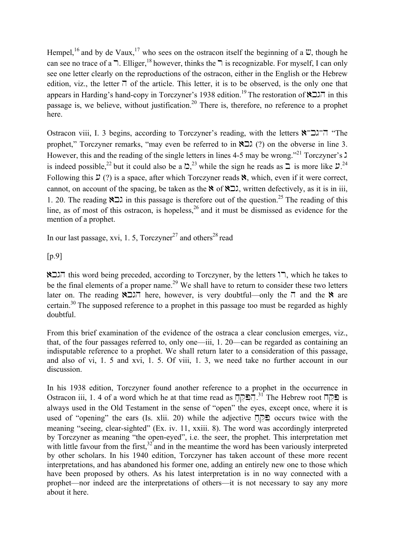Hempel,<sup>16</sup> and by de Vaux,<sup>17</sup> who sees on the ostracon itself the beginning of a  $\mathfrak{V}$ , though he can see no trace of a  $\overline{a}$ . Elliger,<sup>18</sup> however, thinks the  $\overline{a}$  is recognizable. For myself, I can only see one letter clearly on the reproductions of the ostracon, either in the English or the Hebrew edition, viz., the letter  $\overline{\phantom{a}}$  of the article. This letter, it is to be observed, is the only one that appears in Harding's hand-copy in Torczyner's 1938 edition.<sup>19</sup> The restoration of  $\sum \overline{\ }$  in this passage is, we believe, without justification.<sup>20</sup> There is, therefore, no reference to a prophet here.

Ostracon viii, I. 3 begins, according to Torczyner's reading, with the letters  $\mathbb{R}$ - $\Box$ . The prophet," Torczyner remarks, "may even be referred to in  $\sum$  (?) on the obverse in line 3. However, this and the reading of the single letters in lines 4-5 may be wrong."<sup>21</sup> Torczyner's  $\lambda$ is indeed possible,<sup>22</sup> but it could also be a  $\Delta$ ,<sup>23</sup> while the sign he reads as  $\Delta$  is more like  $\mathcal{L}$ .<sup>24</sup> Following this  $\mathcal{L}$  (?) is a space, after which Torczyner reads  $\aleph$ , which, even if it were correct, cannot, on account of the spacing, be taken as the  $\aleph$  of  $\aleph \Box \lambda$ , written defectively, as it is in iii, 1. 20. The reading  $\sum$  in this passage is therefore out of the question.<sup>25</sup> The reading of this line, as of most of this ostracon, is hopeless,  $26$  and it must be dismissed as evidence for the mention of a prophet.

In our last passage, xvi, 1, 5, Torczyner<sup>27</sup> and others<sup>28</sup> read

[p.9]

הגבא $\overline{\mathsf{R}}$  this word being preceded, according to Torczyner, by the letters  $\overline{\mathsf{R}}$ , which he takes to be the final elements of a proper name.<sup>29</sup> We shall have to return to consider these two letters later on. The reading  $\sum_{n=1}^{\infty}$  here, however, is very doubtful—only the  $\overline{p}$  and the  $\overline{p}$  are certain.30 The supposed reference to a prophet in this passage too must be regarded as highly doubtful.

From this brief examination of the evidence of the ostraca a clear conclusion emerges, viz., that, of the four passages referred to, only one—iii, 1. 20—can be regarded as containing an indisputable reference to a prophet. We shall return later to a consideration of this passage, and also of vi, 1. 5 and xvi, 1. 5. Of viii, 1. 3, we need take no further account in our discussion.

In his 1938 edition, Torczyner found another reference to a prophet in the occurrence in Ostracon iii, 1. 4 of a word which he at that time read as  $\Box \Box^{2^{31}}$  The Hebrew root iii, 1. 4 of a word which he at that time read as  $\Box \Box^{31}$ always used in the Old Testament in the sense of "open" the eyes, except once, where it is used of "opening" the ears (Is. xlii. 20) while the adjective  $\Box$ PI occurs twice with the meaning "seeing, clear-sighted" (Ex. iv. 11, xxiii. 8). The word was accordingly interpreted by Torczyner as meaning "the open-eyed", i.e. the seer, the prophet. This interpretation met with little favour from the first,  $32$  and in the meantime the word has been variously interpreted by other scholars. In his 1940 edition, Torczyner has taken account of these more recent interpretations, and has abandoned his former one, adding an entirely new one to those which have been proposed by others. As his latest interpretation is in no way connected with a prophet—nor indeed are the interpretations of others—it is not necessary to say any more about it here.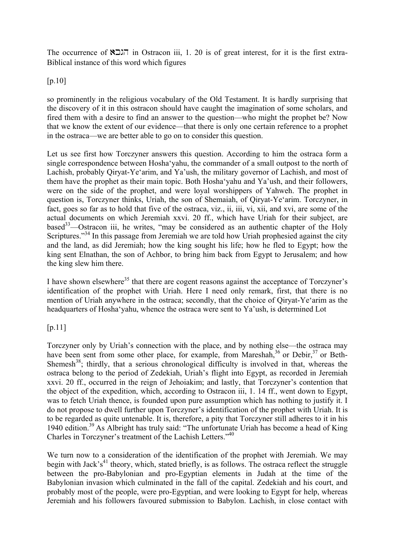The occurrence of  $\sum \overline{I}$  in Ostracon iii, 1. 20 is of great interest, for it is the first extra-Biblical instance of this word which figures

 $[p.10]$ 

so prominently in the religious vocabulary of the Old Testament. It is hardly surprising that the discovery of it in this ostracon should have caught the imagination of some scholars, and fired them with a desire to find an answer to the question—who might the prophet be? Now that we know the extent of our evidence—that there is only one certain reference to a prophet in the ostraca—we are better able to go on to consider this question.

Let us see first how Torczyner answers this question. According to him the ostraca form a single correspondence between Hosha'yahu, the commander of a small outpost to the north of Lachish, probably Qiryat-Ye'arim, and Ya'ush, the military governor of Lachish, and most of them have the prophet as their main topic. Both Hosha'yahu and Ya'ush, and their followers, were on the side of the prophet, and were loyal worshippers of Yahweh. The prophet in question is, Torczyner thinks, Uriah, the son of Shemaiah, of Qiryat-Ye'arim. Torczyner, in fact, goes so far as to hold that five of the ostraca, viz., ii, iii, vi, xii, and xvi, are some of the actual documents on which Jeremiah xxvi. 20 ff., which have Uriah for their subject, are based<sup>33</sup>—Ostracon iii, he writes, "may be considered as an authentic chapter of the Holy Scriptures."<sup>34</sup> In this passage from Jeremiah we are told how Uriah prophesied against the city and the land, as did Jeremiah; how the king sought his life; how he fled to Egypt; how the king sent Elnathan, the son of Achbor, to bring him back from Egypt to Jerusalem; and how the king slew him there.

I have shown elsewhere<sup>35</sup> that there are cogent reasons against the acceptance of Torczyner's identification of the prophet with Uriah. Here I need only remark, first, that there is no mention of Uriah anywhere in the ostraca; secondly, that the choice of Qiryat-Ye'arim as the headquarters of Hosha'yahu, whence the ostraca were sent to Ya'ush, is determined Lot

[p.11]

Torczyner only by Uriah's connection with the place, and by nothing else—the ostraca may have been sent from some other place, for example, from Mareshah,<sup>36</sup> or Debir,<sup>37</sup> or Beth-Shemesh<sup>38</sup>; thirdly, that a serious chronological difficulty is involved in that, whereas the ostraca belong to the period of Zedekiah, Uriah's flight into Egypt, as recorded in Jeremiah xxvi. 20 ff., occurred in the reign of Jehoiakim; and lastly, that Torczyner's contention that the object of the expedition, which, according to Ostracon iii, 1. 14 ff., went down to Egypt, was to fetch Uriah thence, is founded upon pure assumption which has nothing to justify it. I do not propose to dwell further upon Torczyner's identification of the prophet with Uriah. It is to be regarded as quite untenable. It is, therefore, a pity that Torczyner still adheres to it in his 1940 edition.<sup>39</sup> As Albright has truly said: "The unfortunate Uriah has become a head of King Charles in Torczyner's treatment of the Lachish Letters."40

We turn now to a consideration of the identification of the prophet with Jeremiah. We may begin with Jack's<sup>41</sup> theory, which, stated briefly, is as follows. The ostraca reflect the struggle between the pro-Babylonian and pro-Egyptian elements in Judah at the time of the Babylonian invasion which culminated in the fall of the capital. Zedekiah and his court, and probably most of the people, were pro-Egyptian, and were looking to Egypt for help, whereas Jeremiah and his followers favoured submission to Babylon. Lachish, in close contact with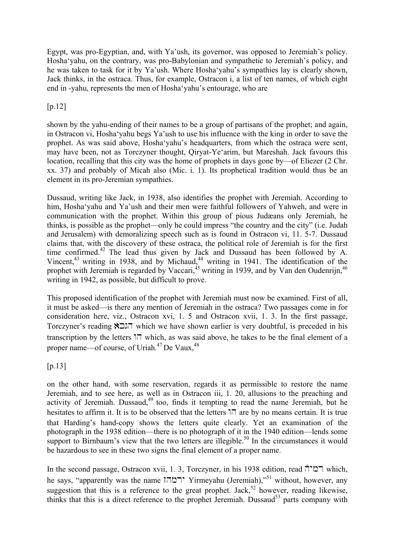Egypt, was pro-Egyptian, and, with Ya'ush, its governor, was opposed to Jeremiah's policy. Hosha'yahu, on the contrary, was pro-Babylonian and sympathetic to Jeremiah's policy, and he was taken to task for it by Ya'ush. Where Hosha'yahu's sympathies lay is clearly shown, Jack thinks, in the ostraca. Thus, for example, Ostracon i, a list of ten names, of which eight end in -yahu, represents the men of Hosha'yahu's entourage, who are

# [p.12]

shown by the yahu-ending of their names to be a group of partisans of the prophet; and again, in Ostracon vi, Hosha'yahu begs Ya'ush to use his influence with the king in order to save the prophet. As was said above, Hosha'yahu's headquarters, from which the ostraca were sent, may have been, not as Torczyner thought, Qiryat-Ye'arim, but Mareshah. Jack favours this location, recalling that this city was the home of prophets in days gone by—of Eliezer (2 Chr. xx. 37) and probably of Micah also (Mic. i. 1). Its prophetical tradition would thus be an element in its pro-Jeremian sympathies.

Dussaud, writing like Jack, in 1938, also identifies the prophet with Jeremiah. According to him, Hosha'yahu and Ya'ush and their men were faithful followers of Yahweh, and were in communication with the prophet. Within this group of pious Judæans only Jeremiah, he thinks, is possible as the prophet—only he could impress "the country and the city" (i.e. Judah and Jerusalem) with demoralizing speech such as is found in Ostracon vi, 11. 5-7. Dussaud claims that, with the discovery of these ostraca, the political role of Jeremiah is for the first time confirmed.<sup>42</sup> The lead thus given by Jack and Dussaud has been followed by A. Vincent, $43$  writing in 1938, and by Michaud, $44$  writing in 1941. The identification of the prophet with Jeremiah is regarded by Vaccari,<sup>45</sup> writing in 1939, and by Van den Oudenrijn,<sup>46</sup> writing in 1942, as possible, but difficult to prove.

This proposed identification of the prophet with Jeremiah must now be examined. First of all, it must be asked—is there any mention of Jeremiah in the ostraca? Two passages come in for consideration here, viz., Ostracon xvi, 1. 5 and Ostracon xvii, 1. 3. In the first passage, Torczyner's reading  $\sum \overline{\ }$  which we have shown earlier is very doubtful, is preceded in his transcription by the letters  $\overline{17}$  which, as was said above, he takes to be the final element of a proper name—of course, of Uriah. $47$  De Vaux,  $48$ 

 $[p.13]$ 

on the other hand, with some reservation, regards it as permissible to restore the name Jeremiah, and to see here, as well as in Ostracon iii, 1. 20, allusions to the preaching and activity of Jeremiah. Dussaud, $49$  too, finds it tempting to read the name Jeremiah, but he hesitates to affirm it. It is to be observed that the letters  $\overline{1}$  are by no means certain. It is true that Harding's hand-copy shows the letters quite clearly. Yet an examination of the photograph in the 1938 edition—there is no photograph of it in the 1940 edition—lends some support to Birnbaum's view that the two letters are illegible.<sup>50</sup> In the circumstances it would be hazardous to see in these two signs the final element of a proper name.

In the second passage, Ostracon xvii, 1. 3, Torczyner, in his 1938 edition, read  $\bar{\Gamma}$ רמי $\bar{\Gamma}$  which, he says, "apparently was the name  $\overline{1}$ רמה" Yirmeyahu (Jeremiah),"<sup>51</sup> without, however, any suggestion that this is a reference to the great prophet. Jack,<sup>52</sup> however, reading likewise, thinks that this is a direct reference to the prophet Jeremiah. Dussaud $53$  parts company with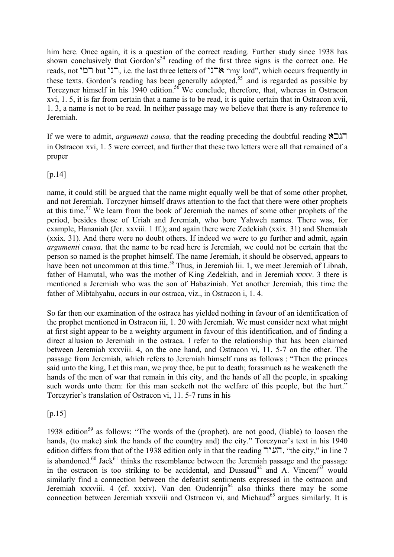him here. Once again, it is a question of the correct reading. Further study since 1938 has shown conclusively that Gordon's<sup>54</sup> reading of the first three signs is the correct one. He reads, not רבי but רבי, i.e. the last three letters of "ארני", which occurs frequently in these texts. Gordon's reading has been generally adopted,<sup>55</sup> and is regarded as possible by Torczyner himself in his 1940 edition.56 We conclude, therefore, that, whereas in Ostracon xvi, 1. 5, it is far from certain that a name is to be read, it is quite certain that in Ostracon xvii, 1. 3, a name is not to be read. In neither passage may we believe that there is any reference to Jeremiah.

If we were to admit, *argumenti causa,* that the reading preceding the doubtful reading akgh in Ostracon xvi, 1. 5 were correct, and further that these two letters were all that remained of a proper

### [p.14]

name, it could still be argued that the name might equally well be that of some other prophet, and not Jeremiah. Torczyner himself draws attention to the fact that there were other prophets at this time.<sup>57</sup> We learn from the book of Jeremiah the names of some other prophets of the period, besides those of Uriah and Jeremiah, who bore Yahweh names. There was, for example, Hananiah (Jer. xxviii. 1 ff.); and again there were Zedekiah (xxix. 31) and Shemaiah (xxix. 31). And there were no doubt others. If indeed we were to go further and admit, again *argumenti causa,* that the name to be read here is Jeremiah, we could not be certain that the person so named is the prophet himself. The name Jeremiah, it should be observed, appears to have been not uncommon at this time.<sup>58</sup> Thus, in Jeremiah lii. 1, we meet Jeremiah of Libnah, father of Hamutal, who was the mother of King Zedekiah, and in Jeremiah xxxv. 3 there is mentioned a Jeremiah who was the son of Habaziniah. Yet another Jeremiah, this time the father of Mibtahyahu, occurs in our ostraca, viz., in Ostracon i, 1, 4.

So far then our examination of the ostraca has yielded nothing in favour of an identification of the prophet mentioned in Ostracon iii, 1. 20 with Jeremiah. We must consider next what might at first sight appear to be a weighty argument in favour of this identification, and of finding a direct allusion to Jeremiah in the ostraca. I refer to the relationship that has been claimed between Jeremiah xxxviii. 4, on the one hand, and Ostracon vi, 11. 5-7 on the other. The passage from Jeremiah, which refers to Jeremiah himself runs as follows : "Then the princes said unto the king, Let this man, we pray thee, be put to death; forasmuch as he weakeneth the hands of the men of war that remain in this city, and the hands of all the people, in speaking such words unto them: for this man seeketh not the welfare of this people, but the hurt." Torczyrier's translation of Ostracon vi, 11. 5-7 runs in his

### $[p.15]$

1938 edition<sup>59</sup> as follows: "The words of the (prophet), are not good, (liable) to loosen the hands, (to make) sink the hands of the coun(try and) the city." Torczyner's text in his 1940 edition differs from that of the 1938 edition only in that the reading  $\Gamma\sim$ , "the city," in line 7 is abandoned.<sup>60</sup> Jack<sup>61</sup> thinks the resemblance between the Jeremiah passage and the passage in the ostracon is too striking to be accidental, and  $Dussaud^{62}$  and A. Vincent<sup>63</sup> would similarly find a connection between the defeatist sentiments expressed in the ostracon and Jeremiah xxxviii. 4 (cf. xxxiv). Van den Oudenrijn<sup>64</sup> also thinks there may be some connection between Jeremiah xxxviii and Ostracon vi, and Michaud<sup>65</sup> argues similarly. It is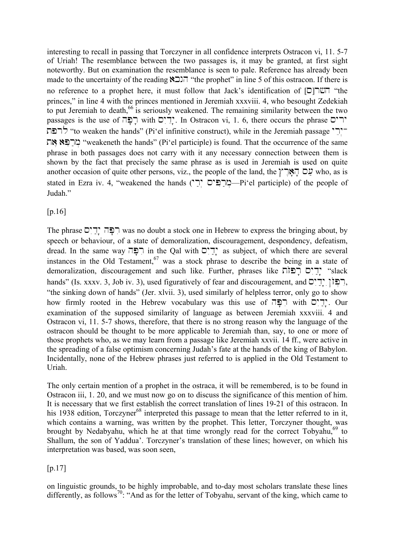interesting to recall in passing that Torczyner in all confidence interprets Ostracon vi, 11. 5-7 of Uriah! The resemblance between the two passages is, it may be granted, at first sight noteworthy. But on examination the resemblance is seen to pale. Reference has already been made to the uncertainty of the reading  $\sum \prod_{i=1}^{\infty}$  "the prophet" in line 5 of this ostracon. If there is no reference to a prophet here, it must follow that Jack's identification of  $[CD]$  "the princes," in line 4 with the princes mentioned in Jeremiah xxxviii. 4, who besought Zedekiah to put Jeremiah to death,<sup>66</sup> is seriously weakened. The remaining similarity between the two passages is the use of יְרָיָם with יְרָיָם: In Ostracon vi, 1. 6, there occurs the phrase יְרים יִרְי "to weaken the hands" (Pi'el infinitive construct), while in the Jeremiah passage "רָפֹּת הא" מרפא את "weakeneth the hands" (Pi'el participle) is found. That the occurrence of the same phrase in both passages does not carry with it any necessary connection between them is shown by the fact that precisely the same phrase as is used in Jeremiah is used on quite another occasion of quite other persons, viz., the people of the land, the  $\gamma$ <sup> $\gamma$ </sup> who, as is stated in Ezra iv. 4, "weakened the hands ("רְפּים יְרָים "Ai'el participle) of the people of Judah."

[p.16]

The phrase  $\Box$ יָ $\Box$  was no doubt a stock one in Hebrew to express the bringing about, by speech or behaviour, of a state of demoralization, discouragement, despondency, defeatism, dread. In the same way רְפָּה in the Qal with יְדֵים; as subject, of which there are several instances in the Old Testament,  $67$  was a stock phrase to describe the being in a state of demoralization, discouragement and such like. Further, phrases like יְדֵיִם רְפַּזֹת "slack" hands" (Is. xxxv. 3, Job iv. 3), used figuratively of fear and discouragement, and  $\Box$  $\Box$  $\Box$ "the sinking down of hands" (Jer. xlvii. 3), used similarly of helpless terror, only go to show how firmly rooted in the Hebrew vocabulary was this use of  $\Box$ ירים with  $\Box$ ", Our examination of the supposed similarity of language as between Jeremiah xxxviii. 4 and Ostracon vi, 11. 5-7 shows, therefore, that there is no strong reason why the language of the ostracon should be thought to be more applicable to Jeremiah than, say, to one or more of those prophets who, as we may learn from a passage like Jeremiah xxvii. 14 ff., were active in the spreading of a false optimism concerning Judah's fate at the hands of the king of Babylon. Incidentally, none of the Hebrew phrases just referred to is applied in the Old Testament to Uriah.

The only certain mention of a prophet in the ostraca, it will be remembered, is to be found in Ostracon iii, 1. 20, and we must now go on to discuss the significance of this mention of him. It is necessary that we first establish the correct translation of lines 19-21 of this ostracon. In his 1938 edition, Torczyner<sup>68</sup> interpreted this passage to mean that the letter referred to in it, which contains a warning, was written by the prophet. This letter, Torczyner thought, was brought by Nedabyahu, which he at that time wrongly read for the correct Tobyahu, $69$  to Shallum, the son of Yaddua'. Torczyner's translation of these lines; however, on which his interpretation was based, was soon seen,

[p.17]

on linguistic grounds, to be highly improbable, and to-day most scholars translate these lines differently, as follows<sup>70</sup>: "And as for the letter of Tobyahu, servant of the king, which came to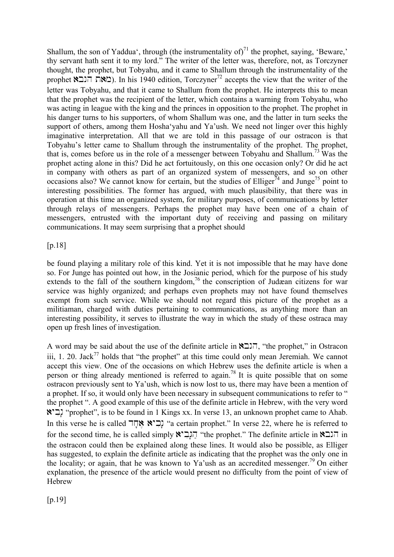Shallum, the son of Yaddua', through (the instrumentality of)<sup>71</sup> the prophet, saying, 'Beware,' thy servant hath sent it to my lord." The writer of the letter was, therefore, not, as Torczyner thought, the prophet, but Tobyahu, and it came to Shallum through the instrumentality of the prophet  $\sum$ ). In his 1940 edition, Torczyner<sup>72</sup> accepts the view that the writer of the letter was Tobyahu, and that it came to Shallum from the prophet. He interprets this to mean that the prophet was the recipient of the letter, which contains a warning from Tobyahu, who was acting in league with the king and the princes in opposition to the prophet. The prophet in his danger turns to his supporters, of whom Shallum was one, and the latter in turn seeks the support of others, among them Hosha'yahu and Ya'ush. We need not linger over this highly imaginative interpretation. All that we are told in this passage of our ostracon is that Tobyahu's letter came to Shallum through the instrumentality of the prophet. The prophet, that is, comes before us in the role of a messenger between Tobyahu and Shallum.73 Was the prophet acting alone in this? Did he act fortuitously, on this one occasion only? Or did he act in company with others as part of an organized system of messengers, and so on other occasions also? We cannot know for certain, but the studies of Elliger<sup>74</sup> and Junge<sup>75</sup> point to interesting possibilities. The former has argued, with much plausibility, that there was in operation at this time an organized system, for military purposes, of communications by letter through relays of messengers. Perhaps the prophet may have been one of a chain of messengers, entrusted with the important duty of receiving and passing on military communications. It may seem surprising that a prophet should

[p.18]

be found playing a military role of this kind. Yet it is not impossible that he may have done so. For Junge has pointed out how, in the Josianic period, which for the purpose of his study extends to the fall of the southern kingdom,<sup>76</sup> the conscription of Judæan citizens for war service was highly organized; and perhaps even prophets may not have found themselves exempt from such service. While we should not regard this picture of the prophet as a militiaman, charged with duties pertaining to communications, as anything more than an interesting possibility, it serves to illustrate the way in which the study of these ostraca may open up fresh lines of investigation.

A word may be said about the use of the definite article in  $\sum$ , "the prophet," in Ostracon iii, 1. 20. Jack<sup>77</sup> holds that "the prophet" at this time could only mean Jeremiah. We cannot accept this view. One of the occasions on which Hebrew uses the definite article is when a person or thing already mentioned is referred to again.<sup>78</sup> It is quite possible that on some ostracon previously sent to Ya'ush, which is now lost to us, there may have been a mention of a prophet. If so, it would only have been necessary in subsequent communications to refer to " the prophet ". A good example of this use of the definite article in Hebrew, with the very word aybin; "prophet", is to be found in 1 Kings xx. In verse 13, an unknown prophet came to Ahab. In this verse he is called  $\overrightarrow{max}$  acertain prophet." In verse 22, where he is referred to for the second time, he is called simply  $\aleph$ " [14] "the prophet." The definite article in  $\aleph$  in the ostracon could then be explained along these lines. It would also be possible, as Elliger has suggested, to explain the definite article as indicating that the prophet was the only one in the locality; or again, that he was known to Ya'ush as an accredited messenger.<sup>79</sup> On either explanation, the presence of the article would present no difficulty from the point of view of Hebrew

[p.19]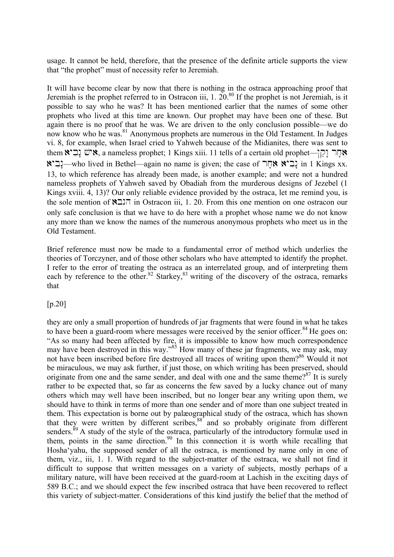usage. It cannot be held, therefore, that the presence of the definite article supports the view that "the prophet" must of necessity refer to Jeremiah.

It will have become clear by now that there is nothing in the ostraca approaching proof that Jeremiah is the prophet referred to in Ostracon iii,  $1. 20^{80}$  If the prophet is not Jeremiah, is it possible to say who he was? It has been mentioned earlier that the names of some other prophets who lived at this time are known. Our prophet may have been one of these. But again there is no proof that he was. We are driven to the only conclusion possible—we do now know who he was.<sup>81</sup> Anonymous prophets are numerous in the Old Testament. In Judges vi. 8, for example, when Israel cried to Yahweh because of the Midianites, there was sent to them פִּישׁ נַבְיא a nameless prophet; 1 Kings xiii. 11 tells of a certain old prophet—יְפִישׁ נַבְי aybin: בְּבִיא אָחָר; the case of יְבִיא אָחָר in 1 Kings xx. 13, to which reference has already been made, is another example; and were not a hundred nameless prophets of Yahweh saved by Obadiah from the murderous designs of Jezebel (1 Kings xviii. 4, 13)? Our only reliable evidence provided by the ostraca, let me remind you, is the sole mention of  $\sum \overline{\ }$  in Ostracon iii, 1. 20. From this one mention on one ostracon our only safe conclusion is that we have to do here with a prophet whose name we do not know any more than we know the names of the numerous anonymous prophets who meet us in the Old Testament.

Brief reference must now be made to a fundamental error of method which underlies the theories of Torczyner, and of those other scholars who have attempted to identify the prophet. I refer to the error of treating the ostraca as an interrelated group, and of interpreting them each by reference to the other.<sup>82</sup> Starkey,<sup>83</sup> writing of the discovery of the ostraca, remarks that

[p.20]

they are only a small proportion of hundreds of jar fragments that were found in what he takes to have been a guard-room where messages were received by the senior officer.<sup>84</sup> He goes on: "As so many had been affected by fire, it is impossible to know how much correspondence may have been destroyed in this way."<sup>85</sup> How many of these jar fragments, we may ask, may not have been inscribed before fire destroyed all traces of writing upon them?<sup>86</sup> Would it not be miraculous, we may ask further, if just those, on which writing has been preserved, should originate from one and the same sender, and deal with one and the same theme? $87$  It is surely rather to be expected that, so far as concerns the few saved by a lucky chance out of many others which may well have been inscribed, but no longer bear any writing upon them, we should have to think in terms of more than one sender and of more than one subject treated in them. This expectation is borne out by palæographical study of the ostraca, which has shown that they were written by different scribes,<sup>88</sup> and so probably originate from different senders.<sup>89</sup> A study of the style of the ostraca, particularly of the introductory formulæ used in them, points in the same direction.<sup>90</sup> In this connection it is worth while recalling that Hosha'yahu, the supposed sender of all the ostraca, is mentioned by name only in one of them, viz., iii, 1. 1. With regard to the subject-matter of the ostraca, we shall not find it difficult to suppose that written messages on a variety of subjects, mostly perhaps of a military nature, will have been received at the guard-room at Lachish in the exciting days of 589 B.C.; and we should expect the few inscribed ostraca that have been recovered to reflect this variety of subject-matter. Considerations of this kind justify the belief that the method of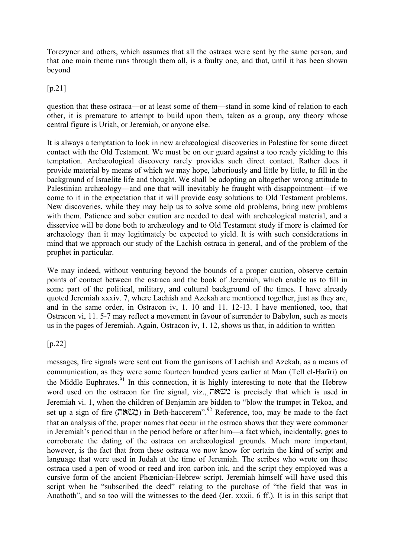Torczyner and others, which assumes that all the ostraca were sent by the same person, and that one main theme runs through them all, is a faulty one, and that, until it has been shown beyond

[p.21]

question that these ostraca—or at least some of them—stand in some kind of relation to each other, it is premature to attempt to build upon them, taken as a group, any theory whose central figure is Uriah, or Jeremiah, or anyone else.

It is always a temptation to look in new archæological discoveries in Palestine for some direct contact with the Old Testament. We must be on our guard against a too ready yielding to this temptation. Archæological discovery rarely provides such direct contact. Rather does it provide material by means of which we may hope, laboriously and little by little, to fill in the background of Israelite life and thought. We shall be adopting an altogether wrong attitude to Palestinian archæology—and one that will inevitably he fraught with disappointment—if we come to it in the expectation that it will provide easy solutions to Old Testament problems. New discoveries, while they may help us to solve some old problems, bring new problems with them. Patience and sober caution are needed to deal with archeological material, and a disservice will be done both to archæology and to Old Testament study if more is claimed for archæology than it may legitimately be expected to yield. It is with such considerations in mind that we approach our study of the Lachish ostraca in general, and of the problem of the prophet in particular.

We may indeed, without venturing beyond the bounds of a proper caution, observe certain points of contact between the ostraca and the book of Jeremiah, which enable us to fill in some part of the political, military, and cultural background of the times. I have already quoted Jeremiah xxxiv. 7, where Lachish and Azekah are mentioned together, just as they are, and in the same order, in Ostracon iv, 1. 10 and 11. 12-13. I have mentioned, too, that Ostracon vi, 11. 5-7 may reflect a movement in favour of surrender to Babylon, such as meets us in the pages of Jeremiah. Again, Ostracon iv, 1. 12, shows us that, in addition to written

# [p.22]

messages, fire signals were sent out from the garrisons of Lachish and Azekah, as a means of communication, as they were some fourteen hundred years earlier at Man (Tell el-Harīri) on the Middle Euphrates.<sup>91</sup> In this connection, it is highly interesting to note that the Hebrew word used on the ostracon for fire signal, viz.,  $\Box$   $\Diamond$  is precisely that which is used in Jeremiah vi. 1, when the children of Benjamin are bidden to "blow the trumpet in Tekoa, and set up a sign of fire ( $\Box$ NE) in Beth-haccerem".<sup>92</sup> Reference, too, may be made to the fact that an analysis of the. proper names that occur in the ostraca shows that they were commoner in Jeremiah's period than in the period before or after him—a fact which, incidentally, goes to corroborate the dating of the ostraca on archæological grounds. Much more important, however, is the fact that from these ostraca we now know for certain the kind of script and language that were used in Judah at the time of Jeremiah. The scribes who wrote on these ostraca used a pen of wood or reed and iron carbon ink, and the script they employed was a cursive form of the ancient Phœnician-Hebrew script. Jeremiah himself will have used this script when he "subscribed the deed" relating to the purchase of "the field that was in Anathoth", and so too will the witnesses to the deed (Jer. xxxii. 6 ff.). It is in this script that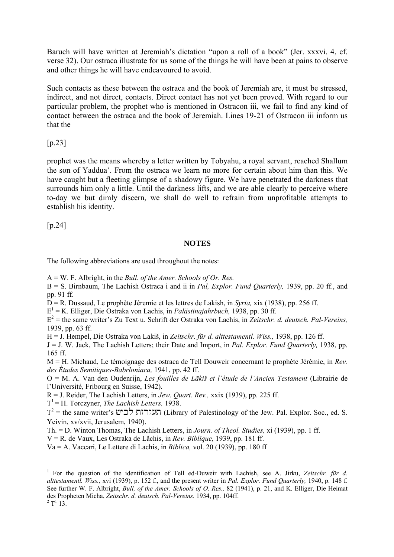Baruch will have written at Jeremiah's dictation "upon a roll of a book" (Jer. xxxvi. 4, cf. verse 32). Our ostraca illustrate for us some of the things he will have been at pains to observe and other things he will have endeavoured to avoid.

Such contacts as these between the ostraca and the book of Jeremiah are, it must be stressed, indirect, and not direct, contacts. Direct contact has not yet been proved. With regard to our particular problem, the prophet who is mentioned in Ostracon iii, we fail to find any kind of contact between the ostraca and the book of Jeremiah. Lines 19-21 of Ostracon iii inform us that the

[p.23]

prophet was the means whereby a letter written by Tobyahu, a royal servant, reached Shallum the son of Yaddua'. From the ostraca we learn no more for certain about him than this. We have caught but a fleeting glimpse of a shadowy figure. We have penetrated the darkness that surrounds him only a little. Until the darkness lifts, and we are able clearly to perceive where to-day we but dimly discern, we shall do well to refrain from unprofitable attempts to establish his identity.

[p.24]

#### **NOTES**

The following abbreviations are used throughout the notes:

A = W. F. Albright, in the *Bull. of the Amer. Schools of Or. Res.*

B = S. Birnbaum, The Lachish Ostraca i and ii in *Pal, Explor. Fund Quarterly,* 1939, pp. 20 ff., and pp. 91 ff.

D = R. Dussaud, Le prophète Jéremie et les lettres de Lakish, in *Syria,* xix (1938), pp. 256 ff.

E1 = K. Elliger, Die Ostraka von Lachis, in *Palästinajahrbuch,* 1938, pp. 30 ff.

E2 = the same writer's Zu Text u. Schrift der Ostraka von Lachis, in *Zeitschr. d. deutsch. Pal-Vereins,* 1939, pp. 63 ff.

H = J. Hempel, Die Ostraka von Lakiš, in *Zeitschr. für d. alttestamentl. Wiss.,* 1938, pp. 126 ff.

J = J. W. Jack, The Lachish Letters; their Date and Import, in *Pal. Explor. Fund Quarterly,* 1938, pp. 165 ff.

M = H. Michaud, Le témoignage des ostraca de Tell Douweir concernant le prophète Jérémie, in *Rev. des Études Semitiques-Babrloniaca,* 1941, pp. 42 ff.

O = M. A. Van den Oudenrijn, *Les fouilles de Lākiš et l'étude de l'Ancien Testament* (Librairie de l'Université, Fribourg en Suisse, 1942).

R = J. Reider, The Lachish Letters, in *Jew. Quart. Rev.,* xxix (1939), pp. 225 ff.

 $T^1$  = H. Torczyner, *The Lachish Letters*, 1938.

 $T^2$  = the same writer's  $\cup$ לבי $\cup$  (Library of Palestinology of the Jew. Pal. Explor. Soc., ed. S. Yeivin, xv/xvii, Jerusalem, 1940).

Th. = D. Winton Thomas, The Lachish Letters, in *Journ. of Theol. Studies,* xi (1939), pp. 1 ff.

V = R. de Vaux, Les Ostraka de Lâchis, in *Rev. Biblique,* 1939, pp. 181 ff.

Va = A. Vaccari, Le Lettere di Lachis, in *Biblica,* vol. 20 (1939), pp. 180 ff

<sup>1</sup> For the question of the identification of Tell ed-Duweir with Lachish, see A. Jirku, Zeitschr. für d. *alttestamentl. Wiss.,* xvi (1939), p. 152 f., and the present writer in *Pal. Explor. Fund Quarterly,* 1940, p. 148 f. See further W. F. Albright, *Bull, of the Amer. Schools of O. Res.,* 82 (1941), p. 21, and K. Elliger, Die Heimat des Propheten Micha, *Zeitschr. d. deutsch. Pal-Vereins.* 1934, pp. 104ff.  $T^1$  13.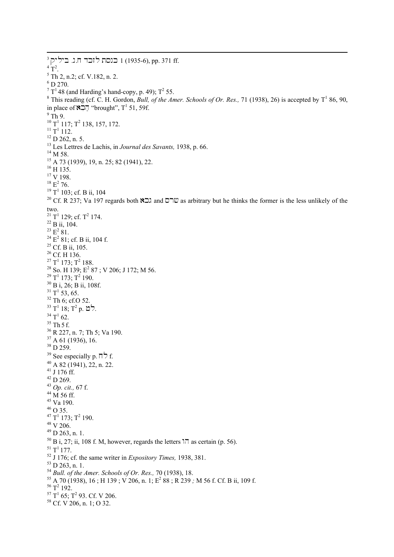$^3$ כנסת לזכר ח.נ. ביליק 1 (1935-6), pp. 371 ff.  $^{4}$  T<sup>2</sup>.<br>5 Th  $5$  Th 2, n.2; cf. V.182, n. 2.  $6$  D 270.  $T$ <sup>T</sup> 48 (and Harding's hand-copy, p. 49);  $T^2$  55.<br><sup>8</sup> This reading (cf. C. H. Gordon, *Bull, of the Ax* This reading (cf. C. H. Gordon, *Bull, of the Amer. Schools of Or. Res.*, 71 (1938), 26) is accepted by  $T^1$  86, 90, in place of  $\sum$ <sup>T</sup> "brought", T<sup>1</sup> 51, 59f.  $^9$  Th 9.  $^{10}$  T<sup>1</sup> 117; T<sup>2</sup> 138, 157, 172.<br><sup>11</sup> T<sup>1</sup> 112.  $12$  D 262, n. 5. <sup>13</sup> Les Lettres de Lachis, in *Journal des Savants*, 1938, p. 66.<br><sup>14</sup> M 58. 15 A 73 (1939), 19, n. 25; 82 (1941), 22. <sup>16</sup> H 135. <sup>17</sup> V 198.  $^{18}$   $\mathrm{E}^2$  76.  $^{18}$  E<sup>2</sup> 76.<br><sup>19</sup> T<sup>1</sup> 103; cf. B ii, 104 20 Cf. R 237; Va 197 regards both  $\sum$  and  $\sum$  as arbitrary but he thinks the former is the less unlikely of the two.  $^{21}$  T<sup>1</sup> 129; cf. T<sup>2</sup> 174.<br><sup>22</sup> B ii, 104.  $^{22}_{23}$  B ii, 104.<br> $^{23}_{23}$  E<sup>2</sup> 81.  $^{23}$  E<sup>2</sup> 81.<br><sup>24</sup> E<sup>2</sup> 81;  $^{24}$  E<sup>2</sup> 81; cf. B ii, 104 f.<br><sup>25</sup> Cf. B ii, 105.  $^{25}$  Cf. B ii, 105.<br><sup>26</sup> Cf. H 136.  $2^7$  T<sup>1</sup> 173; T<sup>2</sup> <sup>27</sup> T<sup>1</sup> 173; T<sup>2</sup> 188.<br><sup>28</sup> So. H 139; E<sup>2</sup> 8 <sup>28</sup> So. H 139; E<sup>2</sup> 87 ; V 206; J 172; M 56.<br><sup>29</sup> T<sup>1</sup> 173; T<sup>2</sup> 190.  $29$  T<sup>1</sup> 173; T<sup>2</sup> 190.  $30$  B i, 26; B ii, 108f.  $31$  T<sup>1</sup> 53, 65.  $32$  Th 6; cf.O 52. לט .7° p. לי.  $^{34}$  T<sup>1</sup> 62.<br><sup>35</sup> Th 5 f. <sup>36</sup> R 227, n. 7; Th 5; Va 190. 37 A 61 (1936), 16. <sup>38</sup> D 259. 39 See especially p.  $\Box$  f. 40 A 82 (1941), 22, n. 22.  $41$  J 176 ff. <sup>42</sup> D 269. <sup>43</sup> *Op. cit.,* 67 f. 44 M 56 ff. 45 Va 190. 46 O 35.  $^{47}$  T<sup>1</sup> 173; T<sup>2</sup> 190.<br><sup>48</sup> V 206. 49 D 263, n. 1. <sup>50</sup> B i, 27; ii, 108 f. M, however, regards the letters  $\frac{1}{11}$  as certain (p. 56).<br><sup>51</sup> T<sup>1</sup> 177. <sup>52</sup> J 176; cf. the same writer in *Expository Times*, 1938, 381.<br><sup>53</sup> D 263, n. 1.<br><sup>54</sup> Bull. of the Amer. Schools of Or. Res., 70 (1938), 18. <sup>54</sup> *Bull. of the Amer. Schools of Or. Res., 7*0 (1938), 18.<br><sup>55</sup> A 70 (1938), 16 ; H 139 ; V 206, n. 1; E<sup>2</sup> 88 ; R 239 , <sup>55</sup> A 70 (1938), 16 ; H 139 ; V 206, n. 1; E<sup>2</sup> 88 ; R 239 *;* M 56 f. Cf. B ii, 109 f.<br><sup>56</sup> T<sup>2</sup> 192. <sup>56</sup> T<sup>2</sup> 192.<br><sup>57</sup> T<sup>1</sup> 65; T<sup>2</sup>  $58$  Cf. V 206, n. 1; O 32.